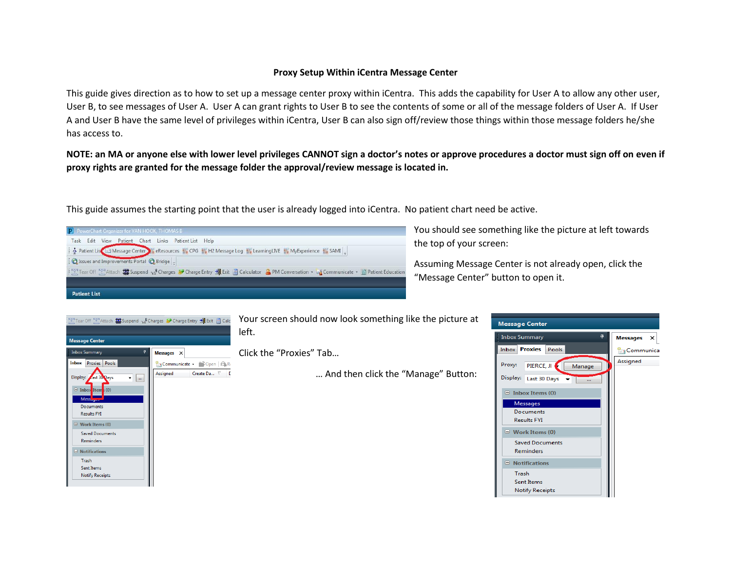## **Proxy Setup Within iCentra Message Center**

This guide gives direction as to how to set up a message center proxy within iCentra. This adds the capability for User A to allow any other user, User B, to see messages of User A. User A can grant rights to User B to see the contents of some or all of the message folders of User A. If User A and User B have the same level of privileges within iCentra, User B can also sign off/review those things within those message folders he/she has access to.

**NOTE: an MA or anyone else with lower level privileges CANNOT sign a doctor's notes or approve procedures a doctor must sign off on even if proxy rights are granted for the message folder the approval/review message is located in.**

This guide assumes the starting point that the user is already logged into iCentra. No patient chart need be active.

Task Edit View Patient Chart Links Patient List Help A Patient List and Message Center Preferences of CPG in H2 Message Log in Learning LIVE in MyExperience in SAMI **Q** Issues and Improvements Portal Q Bridge [ Tear Off [ Attach | | Suspend 3 3 Charges 2 Charge Entry 19 Exit | 2 Calculator 2 PM Conversation + La Communicate + 1 Patient Education **Patient List** 

You should see something like the picture at left towards the top of your screen:

Assuming Message Center is not already open, click the "Message Center" button to open it.

 $\times$ 

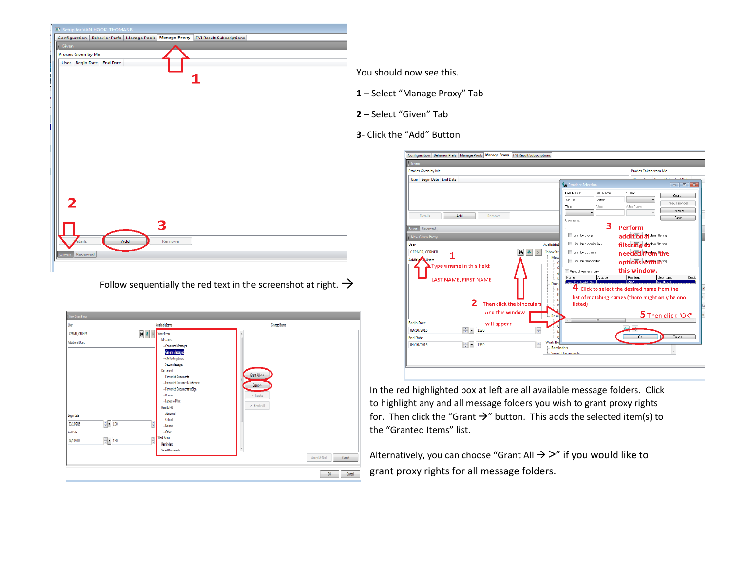|                     | <b>EX</b> Setup for VAN HOOK, THOMAS B |     |        |                                                                                         |  |
|---------------------|----------------------------------------|-----|--------|-----------------------------------------------------------------------------------------|--|
|                     |                                        |     |        | Configuration   Behavior Prefs   Manage Pools   Manage Proxy   FYI Result Subscriptions |  |
| $\frac{1}{2}$ Given |                                        |     |        |                                                                                         |  |
| Proxies Given by Me |                                        |     |        |                                                                                         |  |
|                     | User Begin Date End Date               |     |        |                                                                                         |  |
|                     |                                        |     |        |                                                                                         |  |
|                     |                                        |     |        |                                                                                         |  |
|                     |                                        |     |        |                                                                                         |  |
|                     |                                        |     |        |                                                                                         |  |
|                     |                                        |     |        |                                                                                         |  |
|                     |                                        |     |        |                                                                                         |  |
|                     |                                        |     |        |                                                                                         |  |
|                     |                                        |     |        |                                                                                         |  |
|                     |                                        |     |        |                                                                                         |  |
|                     |                                        |     |        |                                                                                         |  |
|                     |                                        |     |        |                                                                                         |  |
|                     |                                        |     |        |                                                                                         |  |
|                     |                                        |     |        |                                                                                         |  |
|                     |                                        |     |        |                                                                                         |  |
|                     |                                        |     |        |                                                                                         |  |
|                     |                                        |     |        |                                                                                         |  |
| 2                   |                                        |     |        |                                                                                         |  |
|                     |                                        |     |        |                                                                                         |  |
|                     |                                        |     |        |                                                                                         |  |
|                     |                                        |     | e,     |                                                                                         |  |
| etails              |                                        | Add | Remove |                                                                                         |  |
|                     |                                        |     |        |                                                                                         |  |
| Given Received      |                                        |     |        |                                                                                         |  |
|                     |                                        |     |        |                                                                                         |  |
|                     |                                        |     |        |                                                                                         |  |

Follow sequentially the red text in the screenshot at right.  $\rightarrow$ 

| Mew Given Proxy                                                                                                                                                      |                                                                                                                                                                                                                                                                                                                                                              |                                                                                         |
|----------------------------------------------------------------------------------------------------------------------------------------------------------------------|--------------------------------------------------------------------------------------------------------------------------------------------------------------------------------------------------------------------------------------------------------------------------------------------------------------------------------------------------------------|-----------------------------------------------------------------------------------------|
| User                                                                                                                                                                 | Available Items                                                                                                                                                                                                                                                                                                                                              | Granted Items                                                                           |
| $\begin{array}{ c c c }\hline \mathbf{A} & \mathbf{B} & \mathbb{R} \\\hline \end{array}$ in box hems<br>CERNER, CERNER                                               |                                                                                                                                                                                                                                                                                                                                                              |                                                                                         |
| <b>Additional Users</b><br><b>Begin Date</b><br>$\frac{\pi}{2}$ = 1530<br>÷<br>03/10/2016<br>End Date<br>$\frac{\pi}{2}$ = 150<br>$\frac{1}{\sqrt{2}}$<br>04/10/2016 | Messages<br>Consumer Messages<br>General Messages<br>eRx Routing Errors<br>Secure Messages<br>Documents<br>- Forwarded Documents<br>- Forwarded Documents to Review<br>- Forwarded Documents to Sign<br>- Review<br>- Letters to Print<br>Results FYI<br>Abnormal<br>Citical<br>Normal<br>-Other<br>Work Items<br><b>Reminders</b><br><b>Saued Documents</b> | Grant All ->><br>Grant-><br><- Revoke<br><<- Revoke All<br>٠<br>Accept & Next<br>Cancel |
|                                                                                                                                                                      |                                                                                                                                                                                                                                                                                                                                                              | <b>OK</b><br>Cancel                                                                     |

You should now see this.

- **1** Select "Manage Proxy" Tab
- **2** Select "Given" Tab
- **3** Click the "Add" Button

| Given                                          |                        |                              |                |                                                 |                               |
|------------------------------------------------|------------------------|------------------------------|----------------|-------------------------------------------------|-------------------------------|
| Proxies Given by Me                            |                        |                              |                | <b>Proxies Taken from Me</b>                    |                               |
| User Begin Date End Date                       |                        |                              |                |                                                 | فبخالصه المفتح وتستحا المستلف |
|                                                |                        | <b>Provider Selection</b>    |                |                                                 | $\Box$ $\Box$ $\bm{x}$        |
|                                                |                        | Last Name:                   | First Name:    | Suffic                                          | Search                        |
|                                                |                        | cerner                       | cemer          |                                                 | New Provider                  |
|                                                | Title:                 |                              | Alias:         | Alias Type:                                     | <b>Preview</b>                |
| Add<br><b>Details</b><br>Remove                |                        |                              | $\cdot$        |                                                 | Clear                         |
|                                                |                        | Username:                    | з              |                                                 |                               |
| Given Received                                 |                        |                              |                | Perform                                         |                               |
| New Given Proxy                                |                        | Limit by group               |                | addition al data filtering                      |                               |
| User                                           | Available I            | Limit by organization        |                | filtering asdata filtering                      |                               |
| <b>CERNER CERNER</b><br>фħ                     | <b>Inbox</b> Ite       | <b>El Limit by position</b>  |                | needed from the                                 |                               |
| <b>Additional Users</b>                        | Mess                   | Limit by relationship        |                | options within                                  |                               |
| Type a name in this field:                     | с                      |                              |                | this window.                                    |                               |
|                                                | e                      | View physicians only<br>Name | Aliases        | Positions                                       | Username<br>Servic            |
| LAST NAME, FIRST NAME                          | -Si<br>Docu            | <b>CERNER, CERN.</b>         |                | DRA                                             | <b>ICERNER</b>                |
|                                                | F                      |                              |                | 4 Click to select the desired name from the     |                               |
|                                                | F<br>F                 |                              |                | list of matching names (there might only be one |                               |
| Then click the binoculars                      | R                      | listed)                      |                |                                                 |                               |
| And this window                                |                        |                              |                |                                                 | 5 Then click "OK"             |
|                                                | <b>Resul</b>           |                              | $\overline{m}$ |                                                 |                               |
| <b>Begin Date</b><br>will appear<br>03/10/2016 |                        |                              |                | $\sqrt{2}$                                      |                               |
| ÷<br>족<br>1530<br><b>End Date</b>              |                        |                              |                | OK.                                             | Cancel                        |
| $\frac{1}{x}$<br>÷<br>04/10/2016<br>1530       | <b>Work Ite</b>        |                              |                |                                                 |                               |
|                                                | <b>Reminders</b>       |                              |                |                                                 |                               |
|                                                | <b>Saved Documents</b> |                              |                |                                                 |                               |

In the red highlighted box at left are all available message folders. Click to highlight any and all message folders you wish to grant proxy rights for. Then click the "Grant  $\rightarrow$ " button. This adds the selected item(s) to the "Granted Items" list.

Alternatively, you can choose "Grant All  $\rightarrow$  >" if you would like to grant proxy rights for all message folders.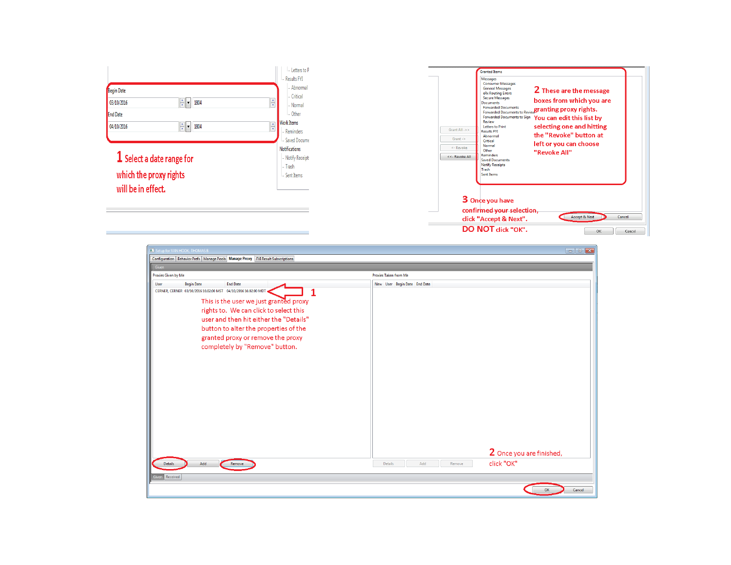